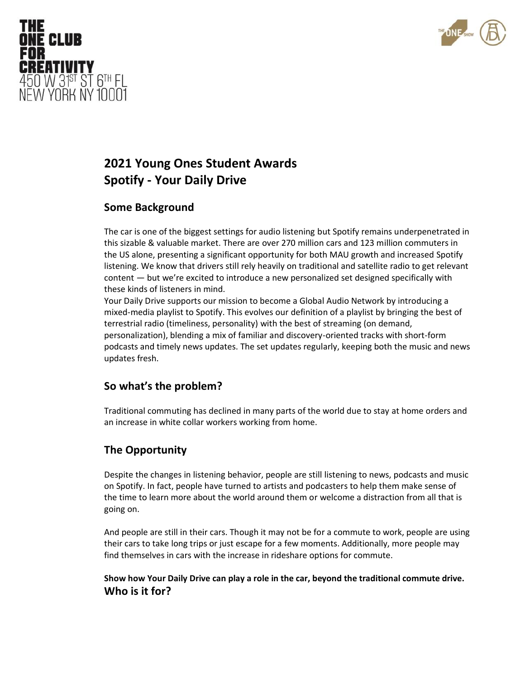

# **2021 Young Ones Student Awards Spotify - Your Daily Drive**

#### **Some Background**

THE

FOR

**ONE CLUB** 

**CREATIVITY** 

450 W 31<sup>st</sup> ST 6<sup>TH</sup> FL NEW YORK NY 10001

> The car is one of the biggest settings for audio listening but Spotify remains underpenetrated in this sizable & valuable market. There are over 270 million cars and 123 million commuters in the US alone, presenting a significant opportunity for both MAU growth and increased Spotify listening. We know that drivers still rely heavily on traditional and satellite radio to get relevant content — but we're excited to introduce a new personalized set designed specifically with these kinds of listeners in mind.

> Your Daily Drive supports our mission to become a Global Audio Network by introducing a mixed-media playlist to Spotify. This evolves our definition of a playlist by bringing the best of terrestrial radio (timeliness, personality) with the best of streaming (on demand, personalization), blending a mix of familiar and discovery-oriented tracks with short-form podcasts and timely news updates. The set updates regularly, keeping both the music and news updates fresh.

#### **So what's the problem?**

Traditional commuting has declined in many parts of the world due to stay at home orders and an increase in white collar workers working from home.

## **The Opportunity**

Despite the changes in listening behavior, people are still listening to news, podcasts and music on Spotify. In fact, people have turned to artists and podcasters to help them make sense of the time to learn more about the world around them or welcome a distraction from all that is going on.

And people are still in their cars. Though it may not be for a commute to work, people are using their cars to take long trips or just escape for a few moments. Additionally, more people may find themselves in cars with the increase in rideshare options for commute.

**Show how Your Daily Drive can play a role in the car, beyond the traditional commute drive. Who is it for?**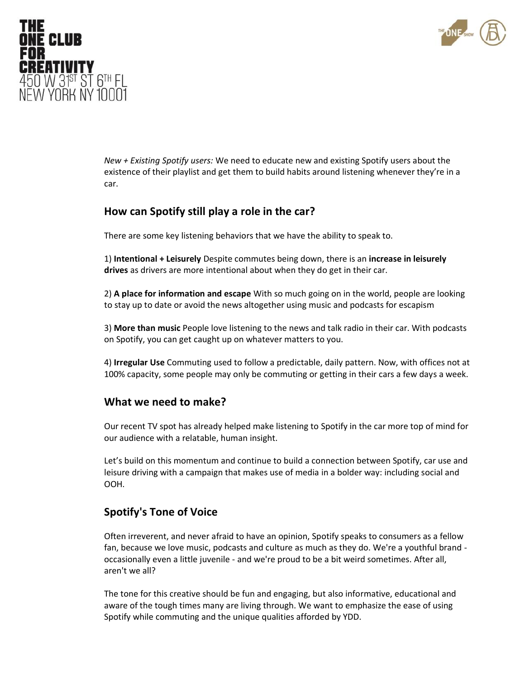



*New + Existing Spotify users:* We need to educate new and existing Spotify users about the existence of their playlist and get them to build habits around listening whenever they're in a car.

# **How can Spotify still play a role in the car?**

There are some key listening behaviors that we have the ability to speak to.

1) **Intentional + Leisurely** Despite commutes being down, there is an **increase in leisurely drives** as drivers are more intentional about when they do get in their car.

2) **A place for information and escape** With so much going on in the world, people are looking to stay up to date or avoid the news altogether using music and podcasts for escapism

3) **More than music** People love listening to the news and talk radio in their car. With podcasts on Spotify, you can get caught up on whatever matters to you.

4) **Irregular Use** Commuting used to follow a predictable, daily pattern. Now, with offices not at 100% capacity, some people may only be commuting or getting in their cars a few days a week.

## **What we need to make?**

Our recent TV spot has already helped make listening to Spotify in the car more top of mind for our audience with a relatable, human insight.

Let's build on this momentum and continue to build a connection between Spotify, car use and leisure driving with a campaign that makes use of media in a bolder way: including social and OOH.

## **Spotify's Tone of Voice**

Often irreverent, and never afraid to have an opinion, Spotify speaks to consumers as a fellow fan, because we love music, podcasts and culture as much as they do. We're a youthful brand occasionally even a little juvenile - and we're proud to be a bit weird sometimes. After all, aren't we all?

The tone for this creative should be fun and engaging, but also informative, educational and aware of the tough times many are living through. We want to emphasize the ease of using Spotify while commuting and the unique qualities afforded by YDD.